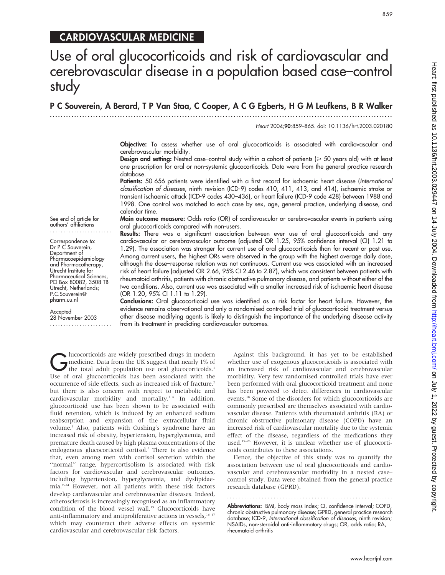# Use of oral glucocorticoids and risk of cardiovascular and cerebrovascular disease in a population based case–control study

P C Souverein, A Berard, T P Van Staa, C Cooper, A C G Egberts, H G M Leufkens, B R Walker

...............................................................................................................................

Heart 2004;90:859–865. doi: 10.1136/hrt.2003.020180

Objective: To assess whether use of oral glucocorticoids is associated with cardiovascular and cerebrovascular morbidity.

**Design and setting:** Nested case-control study within a cohort of patients ( $\geq$  50 years old) with at least one prescription for oral or non-systemic glucocorticoids. Data were from the general practice research database.

Patients: 50 656 patients were identified with a first record for ischaemic heart disease (International classification of diseases, ninth revision (ICD-9) codes 410, 411, 413, and 414), ischaemic stroke or transient ischaemic attack (ICD-9 codes 430–436), or heart failure (ICD-9 code 428) between 1988 and 1998. One control was matched to each case by sex, age, general practice, underlying disease, and calendar time.

Main outcome measure: Odds ratio (OR) of cardiovascular or cerebrovascular events in patients using oral glucocorticoids compared with non-users.

Results: There was a significant association between ever use of oral glucocorticoids and any cardiovascular or cerebrovascular outcome (adjusted OR 1.25, 95% confidence interval (CI) 1.21 to 1.29). The association was stronger for current use of oral glucocorticoids than for recent or past use. Among current users, the highest ORs were observed in the group with the highest average daily dose, although the dose–response relation was not continuous. Current use was associated with an increased risk of heart failure (adjusted OR 2.66, 95% CI 2.46 to 2.87), which was consistent between patients with rheumatoid arthritis, patients with chronic obstructive pulmonary disease, and patients without either of the two conditions. Also, current use was associated with a smaller increased risk of ischaemic heart disease (OR 1.20, 95% CI 1.11 to 1.29).

Conclusions: Oral glucocorticoid use was identified as a risk factor for heart failure. However, the evidence remains observational and only a randomised controlled trial of glucocorticoid treatment versus other disease modifying agents is likely to distinguish the importance of the underlying disease activity from its treatment in predicting cardiovascular outcomes.

Correspondence to: Dr P C Souverein, Department of Pharmacoepidemiology and Pharmacotherapy, Utrecht Institute for Pharmaceutical Sciences, PO Box 80082, 3508 TB Utrecht, Netherlands; P.C.Souverein@ pharm.uu.nl

See end of article for authors' affiliations .......................

**Accepted** 28 November 2003

Interaction are widely prescribed drugs in modern<br>
the total adult population use oral glucocorticoids.<sup>1</sup><br>
The of oral glucocorticoids begins are accepted with the medicine. Data from the UK suggest that nearly 1% of Use of oral glucocorticoids has been associated with the occurrence of side effects, such as increased risk of fracture,<sup>2</sup> but there is also concern with respect to metabolic and cardiovascular morbidity and mortality.<sup>34</sup> In addition, glucocorticoid use has been shown to be associated with fluid retention, which is induced by an enhanced sodium reabsorption and expansion of the extracellular fluid volume.<sup>5</sup> Also, patients with Cushing's syndrome have an increased risk of obesity, hypertension, hyperglycaemia, and premature death caused by high plasma concentrations of the endogenous glucocorticoid cortisol.<sup>6</sup> There is also evidence that, even among men with cortisol secretion within the "normal" range, hypercortisolism is associated with risk factors for cardiovascular and cerebrovascular outcomes, including hypertension, hyperglycaemia, and dyslipidaemia.7–14 However, not all patients with these risk factors develop cardiovascular and cerebrovascular diseases. Indeed, atherosclerosis is increasingly recognised as an inflammatory condition of the blood vessel wall.<sup>15</sup> Glucocorticoids have anti-inflammatory and antiproliferative actions in vessels,<sup>16</sup><sup>17</sup> which may counteract their adverse effects on systemic cardiovascular and cerebrovascular risk factors.

Against this background, it has yet to be established whether use of exogenous glucocorticoids is associated with an increased risk of cardiovascular and cerebrovascular morbidity. Very few randomised controlled trials have ever been performed with oral glucocorticoid treatment and none has been powered to detect differences in cardiovascular events.18 Some of the disorders for which glucocorticoids are commonly prescribed are themselves associated with cardiovascular disease. Patients with rheumatoid arthritis (RA) or chronic obstructive pulmonary disease (COPD) have an increased risk of cardiovascular mortality due to the systemic effect of the disease, regardless of the medications they used.<sup>19-23</sup> However, it is unclear whether use of glucocorticoids contributes to these associations.

Hence, the objective of this study was to quantify the association between use of oral glucocorticoids and cardiovascular and cerebrovascular morbidity in a nested case– control study. Data were obtained from the general practice research database (GPRD).

Abbreviations: BMI, body mass index; CI, confidence interval; COPD, chronic obstructive pulmonary disease; GPRD, general practice research database; ICD-9, International classification of diseases, ninth revision; NSAIDs, non-steroidal anti-inflammatory drugs; OR, odds ratio; RA, rheumatoid arthritis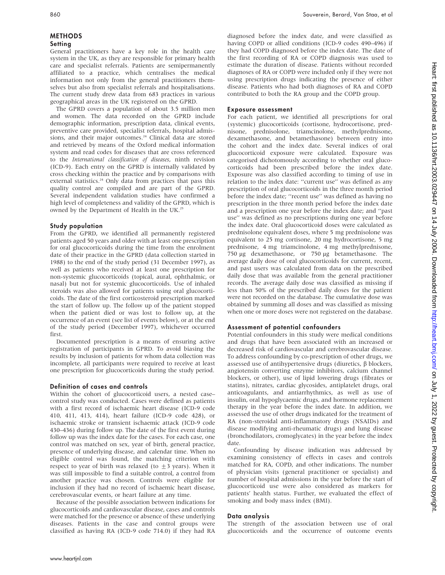## METHODS

#### **Setting**

General practitioners have a key role in the health care system in the UK, as they are responsible for primary health care and specialist referrals. Patients are semipermanently affiliated to a practice, which centralises the medical information not only from the general practitioners themselves but also from specialist referrals and hospitalisations. The current study drew data from 683 practices in various geographical areas in the UK registered on the GPRD.

The GPRD covers a population of about 3.5 million men and women. The data recorded on the GPRD include demographic information, prescription data, clinical events, preventive care provided, specialist referrals, hospital admissions, and their major outcomes.<sup>24</sup> Clinical data are stored and retrieved by means of the Oxford medical information system and read codes for diseases that are cross referenced to the International classification of diseases, ninth revision (ICD-9). Each entry on the GPRD is internally validated by cross checking within the practice and by comparisons with external statistics.<sup>24</sup> Only data from practices that pass this quality control are compiled and are part of the GPRD. Several independent validation studies have confirmed a high level of completeness and validity of the GPRD, which is owned by the Department of Health in the UK.<sup>25</sup>

#### Study population

From the GPRD, we identified all permanently registered patients aged 50 years and older with at least one prescription for oral glucocorticoids during the time from the enrolment date of their practice in the GPRD (data collection started in 1988) to the end of the study period (31 December 1997), as well as patients who received at least one prescription for non-systemic glucocorticoids (topical, aural, ophthalmic, or nasal) but not for systemic glucocorticoids. Use of inhaled steroids was also allowed for patients using oral glucocorticoids. The date of the first corticosteroid prescription marked the start of follow up. The follow up of the patient stopped when the patient died or was lost to follow up, at the occurrence of an event (see list of events below), or at the end of the study period (December 1997), whichever occurred first.

Documented prescription is a means of ensuring active registration of participants in GPRD. To avoid biasing the results by inclusion of patients for whom data collection was incomplete, all participants were required to receive at least one prescription for glucocorticoids during the study period.

#### Definition of cases and controls

Within the cohort of glucocorticoid users, a nested case– control study was conducted. Cases were defined as patients with a first record of ischaemic heart disease (ICD-9 code 410, 411, 413, 414), heart failure (ICD-9 code 428), or ischaemic stroke or transient ischaemic attack (ICD-9 code 430–436) during follow up. The date of the first event during follow up was the index date for the cases. For each case, one control was matched on sex, year of birth, general practice, presence of underlying disease, and calendar time. When no eligible control was found, the matching criterion with respect to year of birth was relaxed (to  $\pm$  3 years). When it was still impossible to find a suitable control, a control from another practice was chosen. Controls were eligible for inclusion if they had no record of ischaemic heart disease, cerebrovascular events, or heart failure at any time.

Because of the possible association between indications for glucocorticoids and cardiovascular disease, cases and controls were matched for the presence or absence of these underlying diseases. Patients in the case and control groups were classified as having RA (ICD-9 code 714.0) if they had RA diagnosed before the index date, and were classified as having COPD or allied conditions (ICD-9 codes 490–496) if they had COPD diagnosed before the index date. The date of the first recording of RA or COPD diagnosis was used to estimate the duration of disease. Patients without recorded diagnoses of RA or COPD were included only if they were not using prescription drugs indicating the presence of either disease. Patients who had both diagnoses of RA and COPD contributed to both the RA group and the COPD group.

#### Exposure assessment

For each patient, we identified all prescriptions for oral (systemic) glucocorticoids (cortisone, hydrocortisone, prednisone, prednisolone, triamcinolone, methylprednisone, dexamethasone, and betamethasone) between entry into the cohort and the index date. Several indices of oral glucocorticoid exposure were calculated. Exposure was categorised dichotomously according to whether oral glucocorticoids had been prescribed before the index date. Exposure was also classified according to timing of use in relation to the index date: ''current use'' was defined as any prescription of oral glucocorticoids in the three month period before the index date; ''recent use'' was defined as having no prescription in the three month period before the index date and a prescription one year before the index date; and ''past use'' was defined as no prescriptions during one year before the index date. Oral glucocorticoid doses were calculated as prednisolone equivalent doses, where 5 mg prednisolone was equivalent to 25 mg cortisone, 20 mg hydrocortisone, 5 mg prednisone, 4 mg triamcinolone, 4 mg methylprednisone, 750 μg dexamethasone, or 750 μg betamethasone. The average daily dose of oral glucocorticoids for current, recent, and past users was calculated from data on the prescribed daily dose that was available from the general practitioner records. The average daily dose was classified as missing if less than 50% of the prescribed daily doses for the patient were not recorded on the database. The cumulative dose was obtained by summing all doses and was classified as missing when one or more doses were not registered on the database.

#### Assessment of potential confounders

Potential confounders in this study were medical conditions and drugs that have been associated with an increased or decreased risk of cardiovascular and cerebrovascular disease. To address confounding by co-prescription of other drugs, we assessed use of antihypertensive drugs (diuretics,  $\beta$  blockers, angiotensin converting enzyme inhibitors, calcium channel blockers, or other), use of lipid lowering drugs (fibrates or statins), nitrates, cardiac glycosides, antiplatelet drugs, oral anticoagulants, and antiarrhythmics, as well as use of insulin, oral hypoglycaemic drugs, and hormone replacement therapy in the year before the index date. In addition, we assessed the use of other drugs indicated for the treatment of RA (non-steroidal anti-inflammatory drugs (NSAIDs) and disease modifying anti-rheumatic drugs) and lung disease (bronchodilators, cromoglycates) in the year before the index date.

Confounding by disease indication was addressed by examining consistency of effects in cases and controls matched for RA, COPD, and other indications. The number of physician visits (general practitioner or specialist) and number of hospital admissions in the year before the start of glucocorticoid use were also considered as markers for patients' health status. Further, we evaluated the effect of smoking and body mass index (BMI).

#### Data analysis

The strength of the association between use of oral glucocorticoids and the occurrence of outcome events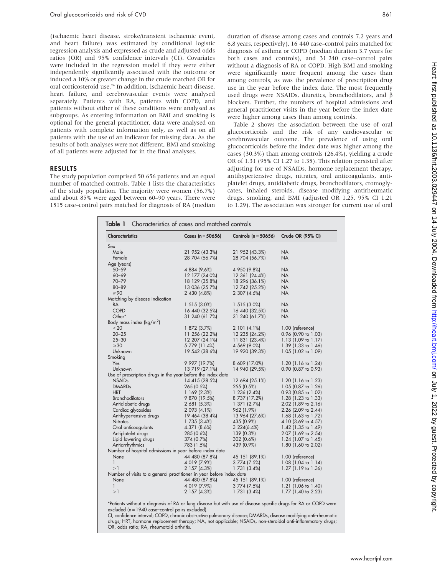(ischaemic heart disease, stroke/transient ischaemic event, and heart failure) was estimated by conditional logistic regression analysis and expressed as crude and adjusted odds ratios (OR) and 95% confidence intervals (CI). Covariates were included in the regression model if they were either independently significantly associated with the outcome or induced a 10% or greater change in the crude matched OR for oral corticosteroid use.<sup>26</sup> In addition, ischaemic heart disease, heart failure, and cerebrovascular events were analysed separately. Patients with RA, patients with COPD, and patients without either of these conditions were analysed as subgroups. As entering information on BMI and smoking is optional for the general practitioner, data were analysed on patients with complete information only, as well as on all patients with the use of an indicator for missing data. As the results of both analyses were not different, BMI and smoking of all patients were adjusted for in the final analyses.

#### RESULTS

The study population comprised 50 656 patients and an equal number of matched controls. Table 1 lists the characteristics of the study population. The majority were women (56.7%) and about 85% were aged between 60–90 years. There were 1515 case–control pairs matched for diagnosis of RA (median duration of disease among cases and controls 7.2 years and 6.8 years, respectively), 16 440 case–control pairs matched for diagnosis of asthma or COPD (median duration 3.7 years for both cases and controls), and 31 240 case–control pairs without a diagnosis of RA or COPD. High BMI and smoking were significantly more frequent among the cases than among controls, as was the prevalence of prescription drug use in the year before the index date. The most frequently used drugs were NSAIDs, diuretics, bronchodilators, and  $\beta$ blockers. Further, the numbers of hospital admissions and general practitioner visits in the year before the index date were higher among cases than among controls.

Table 2 shows the association between the use of oral glucocorticoids and the risk of any cardiovascular or cerebrovascular outcome. The prevalence of using oral glucocorticoids before the index date was higher among the cases (30.3%) than among controls (26.4%), yielding a crude OR of 1.31 (95% CI 1.27 to 1.35). This relation persisted after adjusting for use of NSAIDs, hormone replacement therapy, antihypertensive drugs, nitrates, oral anticoagulants, antiplatelet drugs, antidiabetic drugs, bronchodilators, cromoglycates, inhaled steroids, disease modifying antirheumatic drugs, smoking, and BMI (adjusted OR 1.25, 95% CI 1.21 to 1.29). The association was stronger for current use of oral

| <b>Characteristics</b>                                               | Cases $(n = 50656)$ | Controls $(n = 50656)$ | Crude OR (95% CI)              |
|----------------------------------------------------------------------|---------------------|------------------------|--------------------------------|
| Sex                                                                  |                     |                        |                                |
| Male                                                                 | 21 952 (43.3%)      | 21 952 (43.3%)         | <b>NA</b>                      |
| Female                                                               | 28 704 (56.7%)      | 28 704 (56.7%)         | <b>NA</b>                      |
| Age (years)                                                          |                     |                        |                                |
| $50 - 59$                                                            | 4 884 (9.6%)        | 4 950 (9.8%)           | <b>NA</b>                      |
| $60 - 69$                                                            | 12 177 (24.0%)      | 12 361 (24.4%)         | <b>NA</b>                      |
| 70-79                                                                | 18 129 (35.8%)      | 18 296 (36.1%)         | <b>NA</b>                      |
| $80 - 89$                                                            | 13 036 (25.7%)      | 12 742 (25.2%)         | <b>NA</b>                      |
| $\geqslant 90$                                                       | 2 430 (4.8%)        | 2 307 (4.6%)           | <b>NA</b>                      |
| Matching by disease indication                                       |                     |                        |                                |
| RA.                                                                  | 1 515 (3.0%)        | 1 515 (3.0%)           | <b>NA</b>                      |
| <b>COPD</b>                                                          | 16 440 (32.5%)      | 16 440 (32.5%)         | <b>NA</b>                      |
| Other*                                                               | 31 240 (61.7%)      | 31 240 (61.7%)         | <b>NA</b>                      |
| Body mass index ( $\text{kg/m}^2$ )                                  |                     |                        |                                |
| $<$ 20                                                               | 1 872 (3.7%)        | 2 101 (4.1%)           | 1.00 (reference)               |
| $20 - 25$                                                            | 11 256 (22.2%)      | 12 235 (24.2%)         | 0.96 (0.90 to 1.03)            |
| $25 - 30$                                                            | 12 207 (24.1%)      | 11 831 (23.4%)         | $1.13$ (1.09 to 1.17)          |
| $\geq 30$                                                            | 5 779 (11.4%)       | 4 569 (9.0%)           | 1.39 (1.33 to 1.46)            |
| Unknown                                                              | 19 542 (38.6%)      | 19 920 (39.3%)         | 1.05 (1.02 to 1.09)            |
| Smoking                                                              |                     |                        |                                |
| Yes                                                                  | 9 997 (19.7%)       | 8 609 (17.0%)          | 1.20 (1.16 to 1.24)            |
| Unknown                                                              | 13 719 (27.1%)      | 14 940 (29.5%)         | 0.90 (0.87 to 0.93)            |
| Use of prescription drugs in the year before the index date          |                     |                        |                                |
| <b>NSAIDs</b>                                                        | 14 415 (28.5%)      | 12 694 (25.1%)         | 1.20 $(1.16 \text{ to } 1.23)$ |
| <b>DMARDs</b>                                                        | 265 (0.5%)          | 255 (0.5%)             | 1.05 (0.87 to 1.26)            |
| <b>HRT</b>                                                           | 1 169 (2.3%)        | 1 236 (2.4%)           | 0.93 (0.85 to 1.02)            |
| <b>Bronchodilators</b>                                               | 9 870 (19.5%)       | 8 737 (17.2%)          | 1.28 (1.23 to 1.33)            |
| Antidiabetic drugs                                                   | 2 681 (5.3%)        | 1371(2.7%)             | 2.02 (1.89 to 2.16)            |
| Cardiac glycosides                                                   | 2 093 (4.1%)        | 962 (1.9%)             | 2.26 (2.09 to 2.44)            |
| Antihypertensive drugs                                               | 19 464 (38.4%)      | 13 964 (27.6%)         | 1.68 (1.63 to 1.72)            |
| <b>Nitrates</b>                                                      | 1 735 (3.4%)        | 435 (0.9%)             | 4.10 (3.69 to 4.57)            |
| Oral anticoagulants                                                  | 4.371 (8.6%)        | 3 224(6.4%)            | 1.42 (1.35 to 1.49)            |
| Antiplatelet drugs                                                   | 285 (0.6%)          | 139(0.3%)              | 2.07 (1.69 to 2.54)            |
| Lipid lowering drugs                                                 | 374 (0.7%)          | 302 (0.6%)             | 1.24 (1.07 to 1.45)            |
| Antiarrhythmics                                                      | 783 (1.5%)          | 439 (0.9%)             | 1.80 (1.60 to 2.02)            |
| Number of hospital admissions in year before index date              |                     |                        |                                |
| None                                                                 | 44 480 (87.8%)      | 45 151 (89.1%)         | 1.00 (reference)               |
| $\mathbf{1}$                                                         | 4 0 19 (7.9%)       | 3 774 (7.5%)           | 1.08 $(1.04 \text{ to } 1.14)$ |
| >1                                                                   | 2 157 (4.3%)        | 1731(3.4%)             | 1.27 (1.19 to 1.36)            |
| Number of visits to a general practitioner in year before index date |                     |                        |                                |
| None                                                                 | 44 480 (87.8%)      | 45 151 (89.1%)         | 1.00 (reference)               |
|                                                                      | 4 019 (7.9%)        | 3 774 (7.5%)           | 1.21 (1.06 to 1.40)            |
| 1                                                                    |                     |                        |                                |

\*Patients without a diagnosis of RA or lung disease but with use of disease specific drugs for RA or COPD were excluded (n = 1940 case–control pairs excluded).

CI, confidence interval; COPD, chronic obstructive pulmonary disease; DMARDs, disease modifying anti-rheumatic drugs; HRT, hormone replacement therapy; NA, not applicable; NSAIDs, non-steroidal anti-inflammatory drugs; OR, odds ratio; RA, rheumatoid arthritis.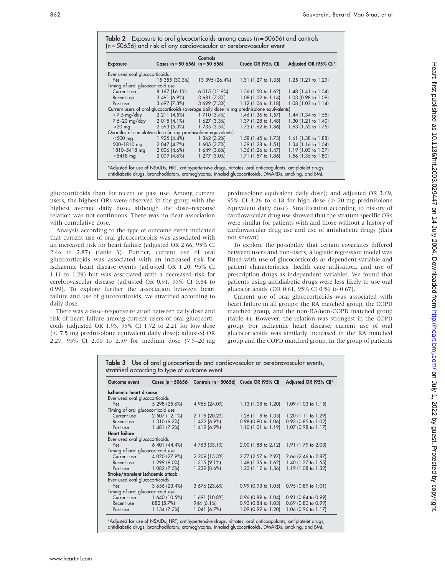Table 2 Exposure to oral glucocorticoids among cases ( $n = 50656$ ) and controls (n = 50656) and risk of any cardiovascular or cerebrovascular event

| Exposure                                                                                                                                                                                                               | Cases $(n = 50 656)$ $(n = 50 656)$ | Controls       | Crude OR (95% CI)     | Adjusted OR (95% CI)* |  |  |
|------------------------------------------------------------------------------------------------------------------------------------------------------------------------------------------------------------------------|-------------------------------------|----------------|-----------------------|-----------------------|--|--|
| Ever used oral glucocorticoids                                                                                                                                                                                         |                                     |                |                       |                       |  |  |
| Yes 15 355 (30.3%)                                                                                                                                                                                                     |                                     | 13 395 (26.4%) | 1.31 (1.27 to 1.35)   | 1.25 (1.21 to 1.29)   |  |  |
| Timing of oral glucocorticoid use                                                                                                                                                                                      |                                     |                |                       |                       |  |  |
| Current use                                                                                                                                                                                                            | 8 167 (16.1%)                       | 6 015 (11.9%)  | $1.56$ (1.50 to 1.62) | $1.48$ (1.41 to 1.54) |  |  |
| Recent use                                                                                                                                                                                                             | 3491(6.9%)                          | 3 681 (7.3%)   | $1.08$ (1.02 to 1.14) | 1.03 (0.98 to 1.09)   |  |  |
| Past use                                                                                                                                                                                                               | 3 697 (7.3%)                        | 3699(7.3%)     | 1.12 (1.06 to 1.18)   | 1.08 (1.02 to 1.14)   |  |  |
| Current users of oral glucocorticoids (average daily dose in ma prednisolone equivalents)                                                                                                                              |                                     |                |                       |                       |  |  |
| $<$ 7.5 mg/day                                                                                                                                                                                                         | 2 2 1 (4.5%)                        | 1710(3.4%)     | 1.46 (1.36 to 1.57)   | 1.44 (1.34 to 1.55)   |  |  |
| $7.5 - 20$ mg/day                                                                                                                                                                                                      | 2 015 (4.1%)                        | $1,627$ (3.3%) | 1.37 (1.28 to 1.48)   | 1.30 (1.21 to 1.40)   |  |  |
| $\geq 20$ mg                                                                                                                                                                                                           | 2 593 (5.3%)                        | 1735(3.5%)     | $1.73$ (1.62 to 1.86) | 1.63 (1.52 to 1.75)   |  |  |
| Quartiles of cumulative dose (in mg prednisolone equivalents)                                                                                                                                                          |                                     |                |                       |                       |  |  |
| $<$ 500 mg                                                                                                                                                                                                             | 1925(4.4%)                          | $1,362$ (3.2%) | 1.58 (1.45 to 1.73)   | 1.61 (1.38 to 1.88)   |  |  |
| 500-1810 mg                                                                                                                                                                                                            | 2 047 (4.7%)                        | 1,605(3.7%)    | $1.39$ (1.28 to 1.51) | $1.34$ (1.16 to 1.54) |  |  |
| 1810-5418 mg                                                                                                                                                                                                           | 2 006 (4.6%)                        | 1649(3.8%)     | 1.36 (1.26 to 1.47)   | 1.19 (1.03 to 1.37)   |  |  |
| $>5418$ mg                                                                                                                                                                                                             | 2 009 (4.6%)                        | 1277(3.0%)     | 1.71 (1.57 to 1.86)   | 1.56 (1.35 to 1.80)   |  |  |
| *Adjusted for use of NSAIDs, HRT, antihypertensive drugs, nitrates, oral anticoagulants, antiplatelet drugs,<br>antidiabetic drugs, bronchodilators, cromoglycates, inhaled glucocorticoids, DMARDs, smoking, and BMI. |                                     |                |                       |                       |  |  |

glucocorticoids than for recent or past use. Among current users, the highest ORs were observed in the group with the highest average daily dose, although the dose–response relation was not continuous. There was no clear association with cumulative dose.

Analysis according to the type of outcome event indicated that current use of oral glucocorticoids was associated with an increased risk for heart failure (adjusted OR 2.66, 95% CI 2.46 to 2.87) (table 3). Further, current use of oral glucocorticoids was associated with an increased risk for ischaemic heart disease events (adjusted OR 1.20, 95% CI 1.11 to 1.29) but was associated with a decreased risk for cerebrovascular disease (adjusted OR 0.91, 95% CI 0.84 to 0.99). To explore further the association between heart failure and use of glucocorticoids, we stratified according to daily dose.

There was a dose–response relation between daily dose and risk of heart failure among current users of oral glucocorticoids (adjusted OR 1.95, 95% CI 1.72 to 2.21 for low dose  $(< 7.5$  mg prednisolone equivalent daily dose); adjusted OR 2.27, 95% CI 2.00 to 2.59 for medium dose (7.5–20 mg prednisolone equivalent daily dose); and adjusted OR 3.69, 95% CI 3.26 to 4.18 for high dose  $(> 20$  mg prednisolone equivalent daily dose). Stratification according to history of cardiovascular drug use showed that the stratum specific ORs were similar for patients with and those without a history of cardiovascular drug use and use of antidiabetic drugs (data not shown).

To explore the possibility that certain covariates differed between users and non-users, a logistic regression model was fitted with use of glucocorticoids as dependent variable and patient characteristics, health care utilisation, and use of prescription drugs as independent variables. We found that patients using antidiabetic drugs were less likely to use oral glucocorticoids (OR 0.61, 95% CI 0.56 to 0.67).

Current use of oral glucocorticoids was associated with heart failure in all groups: the RA matched group, the COPD matched group, and the non-RA/non-COPD matched group (table 4). However, the relation was strongest in the COPD group. For ischaemic heart disease, current use of oral glucocorticoids was similarly increased in the RA matched group and the COPD matched group. In the group of patients

Table 3 Use of oral glucocorticoids and cardiovascular or cerebrovascular events, stratified according to type of outcome event

| Outcome event                                                                                                                                                                                                                       |                         | Cases (n = 50656) Controls (n = 50656) Crude OR (95% CI) |                               | Adjusted OR (95% CI)*                   |
|-------------------------------------------------------------------------------------------------------------------------------------------------------------------------------------------------------------------------------------|-------------------------|----------------------------------------------------------|-------------------------------|-----------------------------------------|
| Ischaemic heart disease                                                                                                                                                                                                             |                         |                                                          |                               |                                         |
| Ever used oral glucocorticoids                                                                                                                                                                                                      |                         |                                                          |                               |                                         |
| <b>Yes</b> and the state of the state of the state of the state of the state of the state of the state of the state of the state of the state of the state of the state of the state of the state of the state of the state of the  | 5 298 (25.6%)           | 4 956 (24.0%)                                            | $1.13(1.08 \text{ to } 1.20)$ | $1.09$ (1.03 to 1.15)                   |
| Timing of oral glucocorticoid use                                                                                                                                                                                                   |                         |                                                          |                               |                                         |
| Current use                                                                                                                                                                                                                         | 2 507 (12.1%)           | 2 115 (20.2%)                                            | $1.26$ (1.18 to 1.35)         | $1.20$ (1.11 to 1.29)                   |
|                                                                                                                                                                                                                                     | Recent use 1 310 (6.3%) | 1422(6.9%)                                               | $0.98$ (0.90 to 1.06)         | 0.93 (0.85 to 1.02)                     |
| Past use                                                                                                                                                                                                                            | 1481(7.2%)              | $1419(6.9\%)$                                            | 1.10(1.01 to 1.19)            | 1.07 (0.98 to 1.17)                     |
| <b>Heart failure</b>                                                                                                                                                                                                                |                         |                                                          |                               |                                         |
| Ever used oral glucocorticoids                                                                                                                                                                                                      |                         |                                                          |                               |                                         |
|                                                                                                                                                                                                                                     | Yes 6 401 (44.4%)       | 4 763 (33.1%)                                            |                               | 2.00 (1.88 to 2.12) 1.91 (1.79 to 2.03) |
| Timing of oral glucocorticoid use                                                                                                                                                                                                   |                         |                                                          |                               |                                         |
| Current use                                                                                                                                                                                                                         | 4 020 (27.9%)           | 2 209 (15.3%)                                            | 2.77 (2.57 to 2.97)           | 2.66 (2.46 to 2.87)                     |
| Recent use                                                                                                                                                                                                                          | $1299(9.0\%)$           | 1315(9.1%)                                               | $1.48$ (1.35 to 1.62)         | 1.40 $(1.27 \text{ to } 1.55)$          |
| Past use                                                                                                                                                                                                                            | 1082(7.5%)              | 1239(8.6%)                                               | $1.23$ (1.12 to 1.36)         | 1.19 (1.08 to 1.32)                     |
| Stroke/transient ischaemic attack                                                                                                                                                                                                   |                         |                                                          |                               |                                         |
| Ever used oral glucocorticoids                                                                                                                                                                                                      |                         |                                                          |                               |                                         |
| <b>Yes</b> and the second second the second second second second second second second second second second second second second second second second second second second second second second second second second second second s | 3 656 (23.4%)           | 3 676 (23.6%)                                            | $0.99$ (0.93 to 1.05)         | $0.95$ (0.89 to 1.01)                   |
| Timing of oral glucocorticoid use                                                                                                                                                                                                   |                         |                                                          |                               |                                         |
| Current use                                                                                                                                                                                                                         | 1 640 (10.5%)           | 1 691 (10.8%)                                            | $0.96$ (0.89 to 1.04)         | 0.91 (0.84 to 0.99)                     |
| Recent use                                                                                                                                                                                                                          | 882 (5.7%)              | 944 (6.1%)                                               | $0.93$ (0.84 to 1.03)         | $0.89$ (0.80 to 0.99)                   |
| Past use                                                                                                                                                                                                                            | 1134(7.3%)              | 1041(6.7%)                                               | 1.09 (0.99 to 1.20)           | 1.06 (0.96 to 1.17)                     |

\*Adjusted for use of NSAIDs, HRT, antihypertensive drugs, nitrates, oral anticoagulants, antiplatelet drugs, antidiabetic drugs, bronchodilators, cromoglycates, inhaled glucocorticoids, DMARDs, smoking, and BMI.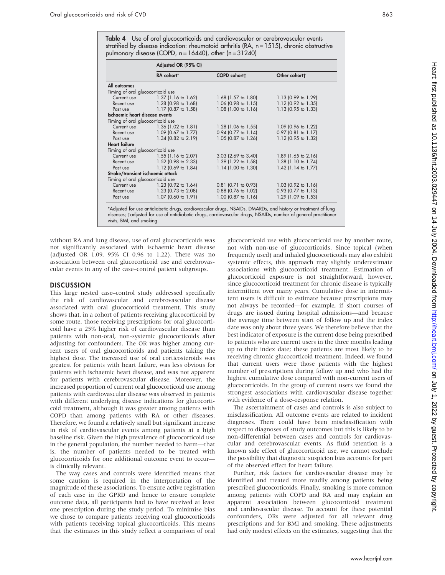Table 4 Use of oral glucocorticoids and cardiovascular or cerebrovascular events stratified by disease indication: rheumatoid arthritis (RA, n = 1515), chronic obstructive pulmonary disease (COPD,  $n = 16440$ ), other  $(n = 31240)$ 

|                                   | Adjusted OR (95% CI)           |                          |                                |  |  |  |
|-----------------------------------|--------------------------------|--------------------------|--------------------------------|--|--|--|
|                                   | RA cohort*                     | COPD cohort              | Other cohortt                  |  |  |  |
| All outcomes                      |                                |                          |                                |  |  |  |
| Timing of oral glucocorticoid use |                                |                          |                                |  |  |  |
| Current use                       | $1.37(1.16 \text{ to } 1.62)$  | $1.68$ (1.57 to 1.80)    | 1.13 (0.99 to 1.29)            |  |  |  |
| Recent use                        | $1.28$ (0.98 to 1.68)          | $1.06$ (0.98 to $1.15$ ) | 1.12 (0.92 to 1.35)            |  |  |  |
| Past use                          | $1.17$ (0.87 to 1.58)          | $1.08$ (1.00 to 1.16)    | 1.13 (0.95 to 1.33)            |  |  |  |
| Ischaemic heart disease events    |                                |                          |                                |  |  |  |
| Timing of oral glucocorticoid use |                                |                          |                                |  |  |  |
| Current use                       | $1.36$ (1.02 to 1.81)          | $1.28$ (1.06 to 1.55)    | 1.09 (0.96 to 1.22)            |  |  |  |
| Recent use                        | $1.09$ (0.67 to 1.77)          | $0.94$ (0.77 to 1.14)    | $0.97$ (0.81 to 1.17)          |  |  |  |
| Past use                          | 1.34 (0.82 to 2.19)            | 1.05 (0.87 to 1.26)      | 1.12 (0.95 to 1.32)            |  |  |  |
| <b>Heart failure</b>              |                                |                          |                                |  |  |  |
| Timing of oral glucocorticoid use |                                |                          |                                |  |  |  |
| Current use                       | $1.55$ (1.16 to 2.07)          | $3.03$ (2.69 to $3.40$ ) | 1.89 (1.65 to 2.16)            |  |  |  |
| Recent use                        | $1.52$ (0.98 to 2.33)          | 1.39 (1.22 to 1.58)      | 1.38 (1.10 to 1.74)            |  |  |  |
| Past use                          | $1.12$ (0.69 to 1.84)          | $1.14$ (1.00 to 1.30)    | 1.42 $(1.14 \text{ to } 1.77)$ |  |  |  |
| Stroke/transient ischaemic attack |                                |                          |                                |  |  |  |
| Timing of oral glucocorticoid use |                                |                          |                                |  |  |  |
| Current use                       | 1.23 $(0.92 \text{ to } 1.64)$ | $0.81$ (0.71 to 0.93)    | 1.03 (0.92 to 1.16)            |  |  |  |
| Recent use                        | 1.23 $(0.73 \text{ to } 2.08)$ | $0.88$ (0.76 to 1.02)    | $0.93$ (0.77 to 1.13)          |  |  |  |
| Past use                          | 1.07 (0.60 to 1.91)            | 1.00 (0.87 to 1.16)      | 1.29 (1.09 to 1.53)            |  |  |  |
|                                   |                                |                          |                                |  |  |  |

<sup>\*</sup>Adjusted for use antidiabetic drugs, cardiovascular drugs, NSAIDs, DMARDs, and history or treatment of lung diseases; tadjusted for use of antidiabetic drugs, cardiovascular drugs, NSAIDs, number of general practitioner visits, BMI, and smoking.

without RA and lung disease, use of oral glucocorticoids was not significantly associated with ischaemic heart disease (adjusted OR 1.09, 95% CI 0.96 to 1.22). There was no association between oral glucocorticoid use and cerebrovascular events in any of the case–control patient subgroups.

#### DISCUSSION

This large nested case–control study addressed specifically the risk of cardiovascular and cerebrovascular disease associated with oral glucocorticoid treatment. This study shows that, in a cohort of patients receiving glucocorticoid by some route, those receiving prescriptions for oral glucocorticoid have a 25% higher risk of cardiovascular disease than patients with non-oral, non-systemic glucocorticoids after adjusting for confounders. The OR was higher among current users of oral glucocorticoids and patients taking the highest dose. The increased use of oral corticosteroids was greatest for patients with heart failure, was less obvious for patients with ischaemic heart disease, and was not apparent for patients with cerebrovascular disease. Moreover, the increased proportion of current oral glucocorticoid use among patients with cardiovascular disease was observed in patients with different underlying disease indications for glucocorticoid treatment, although it was greater among patients with COPD than among patients with RA or other diseases. Therefore, we found a relatively small but significant increase in risk of cardiovascular events among patients at a high baseline risk. Given the high prevalence of glucocorticoid use in the general population, the number needed to harm—that is, the number of patients needed to be treated with glucocorticoids for one additional outcome event to occur is clinically relevant.

The way cases and controls were identified means that some caution is required in the interpretation of the magnitude of these associations. To ensure active registration of each case in the GPRD and hence to ensure complete outcome data, all participants had to have received at least one prescription during the study period. To minimise bias we chose to compare patients receiving oral glucocorticoids with patients receiving topical glucocorticoids. This means that the estimates in this study reflect a comparison of oral

glucocorticoid use with glucocorticoid use by another route, not with non-use of glucocorticoids. Since topical (when frequently used) and inhaled glucocorticoids may also exhibit systemic effects, this approach may slightly underestimate associations with glucocorticoid treatment. Estimation of glucocorticoid exposure is not straightforward, however, since glucocorticoid treatment for chronic disease is typically intermittent over many years. Cumulative dose in intermittent users is difficult to estimate because prescriptions may not always be recorded—for example, if short courses of drugs are issued during hospital admissions—and because the average time between start of follow up and the index date was only about three years. We therefore believe that the best indicator of exposure is the current dose being prescribed to patients who are current users in the three months leading up to their index date; these patients are most likely to be receiving chronic glucocorticoid treatment. Indeed, we found that current users were those patients with the highest number of prescriptions during follow up and who had the highest cumulative dose compared with non-current users of glucocorticoids. In the group of current users we found the strongest associations with cardiovascular disease together with evidence of a dose–response relation.

The ascertainment of cases and controls is also subject to misclassification. All outcome events are related to incident diagnoses. There could have been misclassification with respect to diagnoses of study outcomes but this is likely to be non-differential between cases and controls for cardiovascular and cerebrovascular events. As fluid retention is a known side effect of glucocorticoid use, we cannot exclude the possibility that diagnostic suspicion bias accounts for part of the observed effect for heart failure.

Further, risk factors for cardiovascular disease may be identified and treated more readily among patients being prescribed glucocorticoids. Finally, smoking is more common among patients with COPD and RA and may explain an apparent association between glucocorticoid treatment and cardiovascular disease. To account for these potential confounders, ORs were adjusted for all relevant drug prescriptions and for BMI and smoking. These adjustments had only modest effects on the estimates, suggesting that the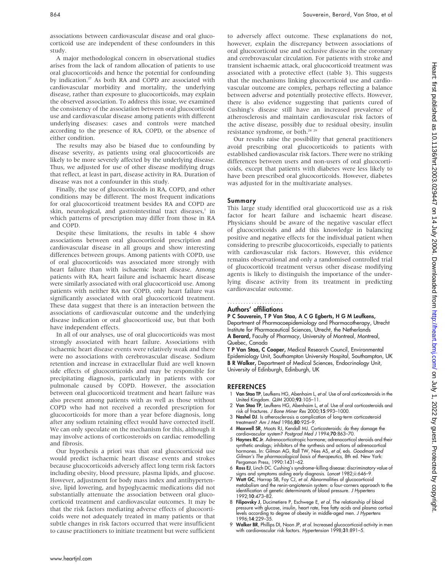associations between cardiovascular disease and oral glucocorticoid use are independent of these confounders in this study.

A major methodological concern in observational studies arises from the lack of random allocation of patients to use oral glucocorticoids and hence the potential for confounding by indication.<sup>27</sup> As both RA and COPD are associated with cardiovascular morbidity and mortality, the underlying disease, rather than exposure to glucocorticoids, may explain the observed association. To address this issue, we examined the consistency of the association between oral glucocorticoid use and cardiovascular disease among patients with different underlying diseases: cases and controls were matched according to the presence of RA, COPD, or the absence of either condition.

The results may also be biased due to confounding by disease severity, as patients using oral glucocorticoids are likely to be more severely affected by the underlying disease. Thus, we adjusted for use of other disease modifying drugs that reflect, at least in part, disease activity in RA. Duration of disease was not a confounder in this study.

Finally, the use of glucocorticoids in RA, COPD, and other conditions may be different. The most frequent indications for oral glucocorticoid treatment besides RA and COPD are skin, neurological, and gastrointestinal tract diseases,<sup>1</sup> in which patterns of prescription may differ from those in RA and COPD.

Despite these limitations, the results in table 4 show associations between oral glucocorticoid prescription and cardiovascular disease in all groups and show interesting differences between groups. Among patients with COPD, use of oral glucocorticoids was associated more strongly with heart failure than with ischaemic heart disease. Among patients with RA, heart failure and ischaemic heart disease were similarly associated with oral glucocorticoid use. Among patients with neither RA nor COPD, only heart failure was significantly associated with oral glucocorticoid treatment. These data suggest that there is an interaction between the associations of cardiovascular outcome and the underlying disease indication or oral glucocorticoid use, but that both have independent effects.

In all of our analyses, use of oral glucocorticoids was most strongly associated with heart failure. Associations with ischaemic heart disease events were relatively weak and there were no associations with cerebrovascular disease. Sodium retention and increase in extracellular fluid are well known side effects of glucocorticoids and may be responsible for precipitating diagnosis, particularly in patients with cor pulmonale caused by COPD. However, the association between oral glucocorticoid treatment and heart failure was also present among patients with as well as those without COPD who had not received a recorded prescription for glucocorticoids for more than a year before diagnosis, long after any sodium retaining effect would have corrected itself. We can only speculate on the mechanism for this, although it may involve actions of corticosteroids on cardiac remodelling and fibrosis.

Our hypothesis a priori was that oral glucocorticoid use would predict ischaemic heart disease events and strokes because glucocorticoids adversely affect long term risk factors including obesity, blood pressure, plasma lipids, and glucose. However, adjustment for body mass index and antihypertensive, lipid lowering, and hypoglycaemic medications did not substantially attenuate the association between oral glucocorticoid treatment and cardiovascular outcomes. It may be that the risk factors mediating adverse effects of glucocorticoids were not adequately treated in many patients or that subtle changes in risk factors occurred that were insufficient to cause practitioners to initiate treatment but were sufficient to adversely affect outcome. These explanations do not, however, explain the discrepancy between associations of oral glucocorticoid use and occlusive disease in the coronary and cerebrovascular circulation. For patients with stroke and transient ischaemic attack, oral glucocorticoid treatment was associated with a protective effect (table 3). This suggests that the mechanisms linking glucocorticoid use and cardiovascular outcome are complex, perhaps reflecting a balance between adverse and potentially protective effects. However, there is also evidence suggesting that patients cured of Cushing's disease still have an increased prevalence of atherosclerosis and maintain cardiovascular risk factors of the active disease, possibly due to residual obesity, insulin resistance syndrome, or both.<sup>28</sup> <sup>29</sup>

Our results raise the possibility that general practitioners avoid prescribing oral glucocorticoids to patients with established cardiovascular risk factors. There were no striking differences between users and non-users of oral glucocorticoids, except that patients with diabetes were less likely to have been prescribed oral glucocorticoids. However, diabetes was adjusted for in the multivariate analyses.

#### Summary

This large study identified oral glucocorticoid use as a risk factor for heart failure and ischaemic heart disease. Physicians should be aware of the negative vascular effect of glucocorticoids and add this knowledge in balancing positive and negative effects for the individual patient when considering to prescribe glucocorticoids, especially to patients with cardiovascular risk factors. However, this evidence remains observational and only a randomised controlled trial of glucocorticoid treatment versus other disease modifying agents is likely to distinguish the importance of the underlying disease activity from its treatment in predicting cardiovascular outcome.

## .....................

## Authors' affiliations

P C Souverein, T P Van Staa, A C G Egberts, H G M Leufkens, Department of Pharmacoepidemiology and Pharmacotherapy, Utrecht Institute for Pharmaceutical Sciences, Utrecht, the Netherlands A Berard, Faculty of Pharmacy, University of Montreal, Montreal, Quebec, Canada

T P Van Staa, C Cooper, Medical Research Council, Environmental Epidemiology Unit, Southampton University Hospital, Southampton, UK B R Walker, Department of Medical Sciences, Endocrinology Unit, University of Edinburgh, Edinburgh, UK

#### **REFERENCES**

- 1 Van Staa TP, Leufkens HG, Abenhaim L, et al. Use of oral corticosteroids in the United Kingdom. QJM 2000;93:105–11.
- 2 Van Staa TP, Leufkens HG, Abenhaim L, et al. Use of oral corticosteroids and risk of fractures. J Bone Miner Res 2000;15:993–1000.
- 3 Nashel DJ. Is atherosclerosis a complication of long-term corticosteroid treatment? Am J Med 1986;80:925–9.
- 4 Maxwell SR, Moots RJ, Kendall MJ. Corticosteroids: do they damage the cardiovascular system? Postgrad Med J 1994;70:863–70.
- 5 Haynes RC Jr. Adrenocorticotropic hormone; adrenocorticol steroids and their synthetic analogs; inhibitors of the synthesis and actions of adrenocortical hormones. In: Gilman AG, Rall TW, Nies AS, et al, eds. Goodman and Gilman's The pharmacological basis of therapeutics, 8th ed. New York: Pergamon Press, 1990:1431–62.
- 6 Ross EJ, Linch DC. Cushing's syndrome–killing disease: discriminatory value of signs and symptoms aiding early diagnosis. Lancet 1982;ii:646–9.
- 7 Watt GC, Harrap SB, Foy CJ, et al. Abnormalities of glucocorticoid metabolism and the renin-angiotensin system: a four-corners approach to the identification of genetic determinants of blood pressure. J Hypertens 1992;10:473–82.
- 8 Filipovsky J, Ducimetiere P, Eschwege E, et al. The relationship of blood pressure with glucose, insulin, heart rate, free fatty acids and plasma cortisol levels according to degree of obesity in middle-aged men. J Hypertens 1996;14:229–35.
- 9 Walker BR, Phillips DI, Noon JP, et al. Increased glucocorticoid activity in men with cardiovascular risk factors. Hypertension 1998;31:891-5.